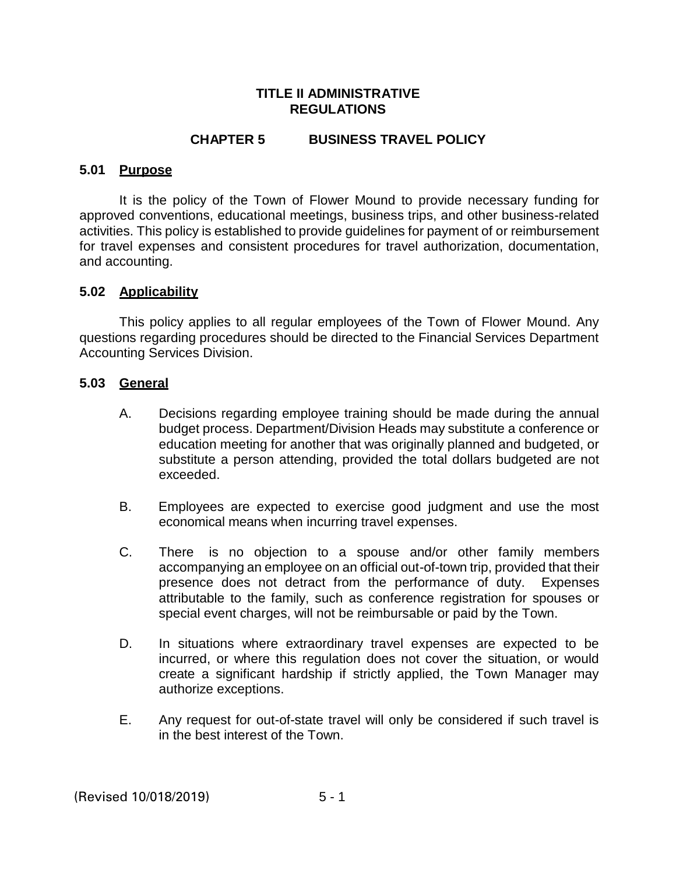#### **TITLE II ADMINISTRATIVE REGULATIONS**

### **CHAPTER 5 BUSINESS TRAVEL POLICY**

#### **5.01 Purpose**

It is the policy of the Town of Flower Mound to provide necessary funding for approved conventions, educational meetings, business trips, and other business-related activities. This policy is established to provide guidelines for payment of or reimbursement for travel expenses and consistent procedures for travel authorization, documentation, and accounting.

#### **5.02 Applicability**

This policy applies to all regular employees of the Town of Flower Mound. Any questions regarding procedures should be directed to the Financial Services Department Accounting Services Division.

#### **5.03 General**

- A. Decisions regarding employee training should be made during the annual budget process. Department/Division Heads may substitute a conference or education meeting for another that was originally planned and budgeted, or substitute a person attending, provided the total dollars budgeted are not exceeded.
- B. Employees are expected to exercise good judgment and use the most economical means when incurring travel expenses.
- C. There is no objection to a spouse and/or other family members accompanying an employee on an official out-of-town trip, provided that their presence does not detract from the performance of duty. Expenses attributable to the family, such as conference registration for spouses or special event charges, will not be reimbursable or paid by the Town.
- D. In situations where extraordinary travel expenses are expected to be incurred, or where this regulation does not cover the situation, or would create a significant hardship if strictly applied, the Town Manager may authorize exceptions.
- E. Any request for out-of-state travel will only be considered if such travel is in the best interest of the Town.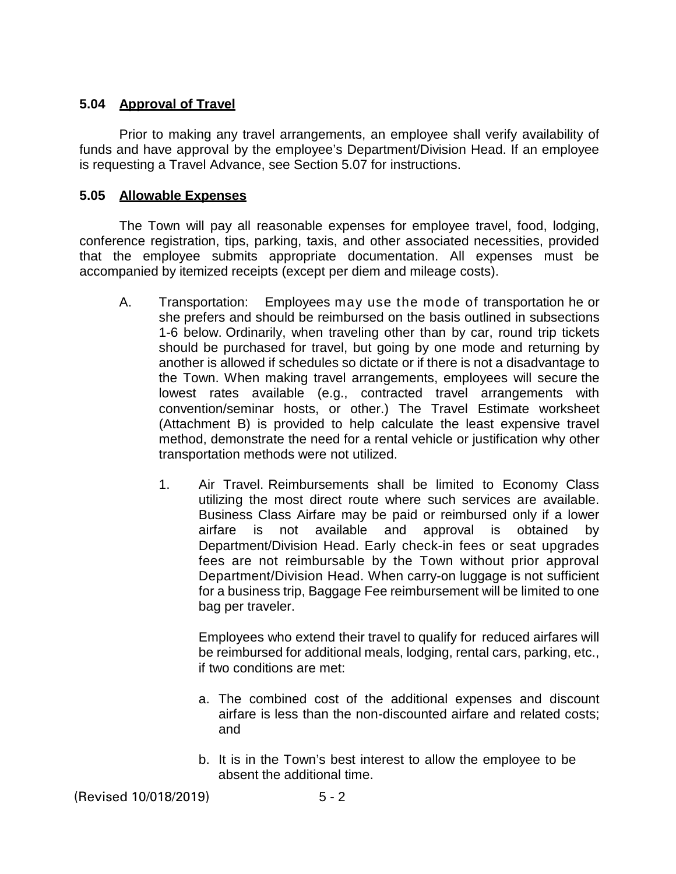### **5.04 Approval of Travel**

Prior to making any travel arrangements, an employee shall verify availability of funds and have approval by the employee's Department/Division Head. If an employee is requesting a Travel Advance, see Section 5.07 for instructions.

### **5.05 Allowable Expenses**

The Town will pay all reasonable expenses for employee travel, food, lodging, conference registration, tips, parking, taxis, and other associated necessities, provided that the employee submits appropriate documentation. All expenses must be accompanied by itemized receipts (except per diem and mileage costs).

- A. Transportation: Employees may use the mode of transportation he or she prefers and should be reimbursed on the basis outlined in subsections 1-6 below. Ordinarily, when traveling other than by car, round trip tickets should be purchased for travel, but going by one mode and returning by another is allowed if schedules so dictate or if there is not a disadvantage to the Town. When making travel arrangements, employees will secure the lowest rates available (e.g., contracted travel arrangements with convention/seminar hosts, or other.) The Travel Estimate worksheet (Attachment B) is provided to help calculate the least expensive travel method, demonstrate the need for a rental vehicle or justification why other transportation methods were not utilized.
	- 1. Air Travel. Reimbursements shall be limited to Economy Class utilizing the most direct route where such services are available. Business Class Airfare may be paid or reimbursed only if a lower airfare is not available and approval is obtained by Department/Division Head. Early check-in fees or seat upgrades fees are not reimbursable by the Town without prior approval Department/Division Head. When carry-on luggage is not sufficient for a business trip, Baggage Fee reimbursement will be limited to one bag per traveler.

Employees who extend their travel to qualify for reduced airfares will be reimbursed for additional meals, lodging, rental cars, parking, etc., if two conditions are met:

- a. The combined cost of the additional expenses and discount airfare is less than the non-discounted airfare and related costs; and
- b. It is in the Town's best interest to allow the employee to be absent the additional time.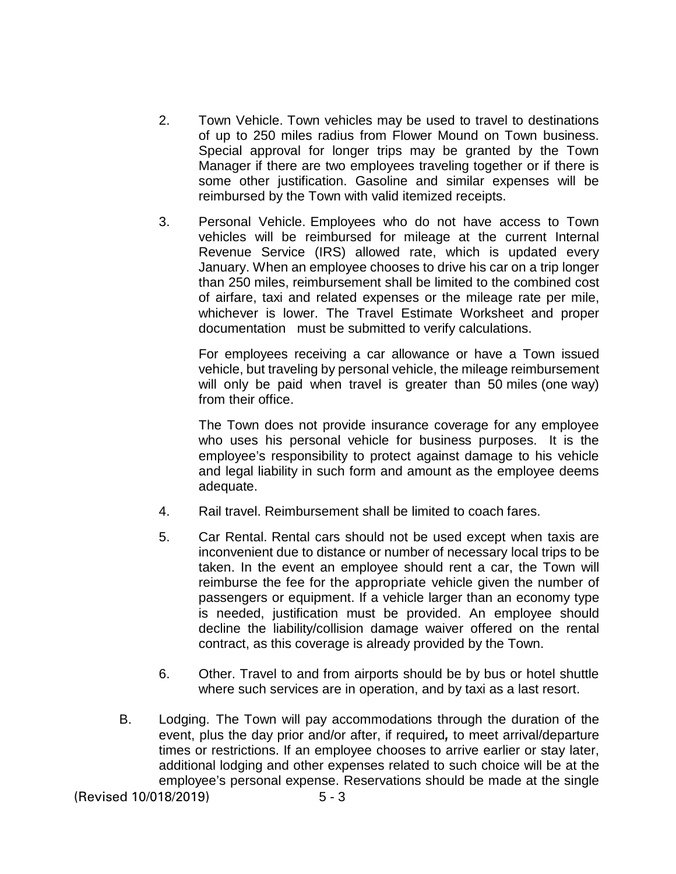- 2. Town Vehicle. Town vehicles may be used to travel to destinations of up to 250 miles radius from Flower Mound on Town business. Special approval for longer trips may be granted by the Town Manager if there are two employees traveling together or if there is some other justification. Gasoline and similar expenses will be reimbursed by the Town with valid itemized receipts.
- 3. Personal Vehicle. Employees who do not have access to Town vehicles will be reimbursed for mileage at the current Internal Revenue Service (IRS) allowed rate, which is updated every January. When an employee chooses to drive his car on a trip longer than 250 miles, reimbursement shall be limited to the combined cost of airfare, taxi and related expenses or the mileage rate per mile, whichever is lower. The Travel Estimate Worksheet and proper documentation must be submitted to verify calculations.

For employees receiving a car allowance or have a Town issued vehicle, but traveling by personal vehicle, the mileage reimbursement will only be paid when travel is greater than 50 miles (one way) from their office.

The Town does not provide insurance coverage for any employee who uses his personal vehicle for business purposes. It is the employee's responsibility to protect against damage to his vehicle and legal liability in such form and amount as the employee deems adequate.

- 4. Rail travel. Reimbursement shall be limited to coach fares.
- 5. Car Rental. Rental cars should not be used except when taxis are inconvenient due to distance or number of necessary local trips to be taken. In the event an employee should rent a car, the Town will reimburse the fee for the appropriate vehicle given the number of passengers or equipment. If a vehicle larger than an economy type is needed, justification must be provided. An employee should decline the liability/collision damage waiver offered on the rental contract, as this coverage is already provided by the Town.
- 6. Other. Travel to and from airports should be by bus or hotel shuttle where such services are in operation, and by taxi as a last resort.
- B. Lodging. The Town will pay accommodations through the duration of the event, plus the day prior and/or after, if required*,* to meet arrival/departure times or restrictions. If an employee chooses to arrive earlier or stay later, additional lodging and other expenses related to such choice will be at the employee's personal expense. Reservations should be made at the single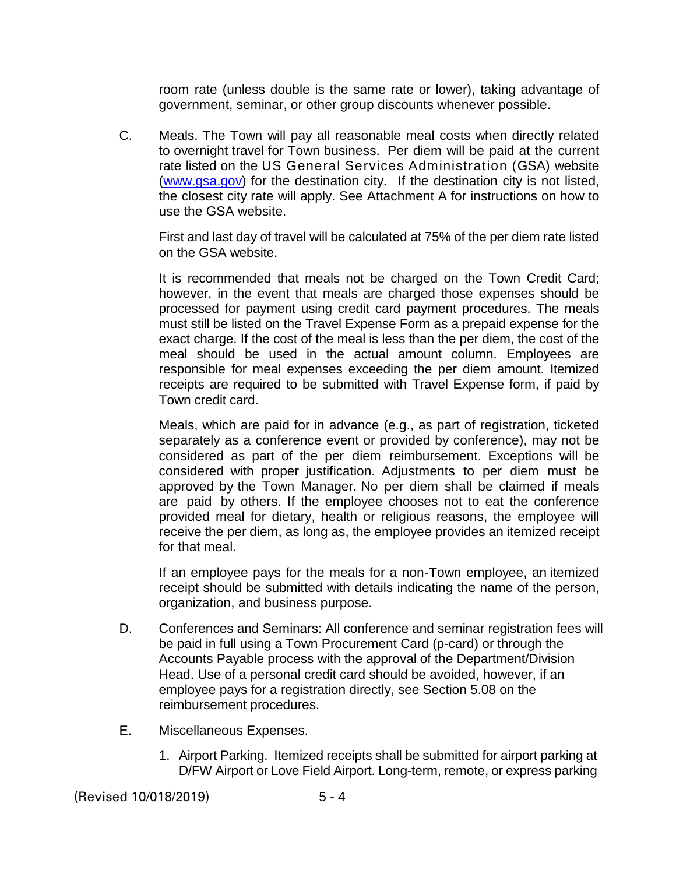room rate (unless double is the same rate or lower), taking advantage of government, seminar, or other group discounts whenever possible.

C. Meals. The Town will pay all reasonable meal costs when directly related to overnight travel for Town business. Per diem will be paid at the current rate listed on the US General Services Administration (GSA) website [\(www.gsa.gov\)](http://www.gsa.gov/) for the destination city. If the destination city is not listed, the closest city rate will apply. See Attachment A for instructions on how to use the GSA website.

First and last day of travel will be calculated at 75% of the per diem rate listed on the GSA website.

It is recommended that meals not be charged on the Town Credit Card; however, in the event that meals are charged those expenses should be processed for payment using credit card payment procedures. The meals must still be listed on the Travel Expense Form as a prepaid expense for the exact charge. If the cost of the meal is less than the per diem, the cost of the meal should be used in the actual amount column. Employees are responsible for meal expenses exceeding the per diem amount. Itemized receipts are required to be submitted with Travel Expense form, if paid by Town credit card.

Meals, which are paid for in advance (e.g., as part of registration, ticketed separately as a conference event or provided by conference), may not be considered as part of the per diem reimbursement. Exceptions will be considered with proper justification. Adjustments to per diem must be approved by the Town Manager. No per diem shall be claimed if meals are paid by others. If the employee chooses not to eat the conference provided meal for dietary, health or religious reasons, the employee will receive the per diem, as long as, the employee provides an itemized receipt for that meal.

If an employee pays for the meals for a non-Town employee, an itemized receipt should be submitted with details indicating the name of the person, organization, and business purpose.

- D. Conferences and Seminars: All conference and seminar registration fees will be paid in full using a Town Procurement Card (p-card) or through the Accounts Payable process with the approval of the Department/Division Head. Use of a personal credit card should be avoided, however, if an employee pays for a registration directly, see Section 5.08 on the reimbursement procedures.
- E. Miscellaneous Expenses.
	- 1. Airport Parking. Itemized receipts shall be submitted for airport parking at D/FW Airport or Love Field Airport. Long-term, remote, or express parking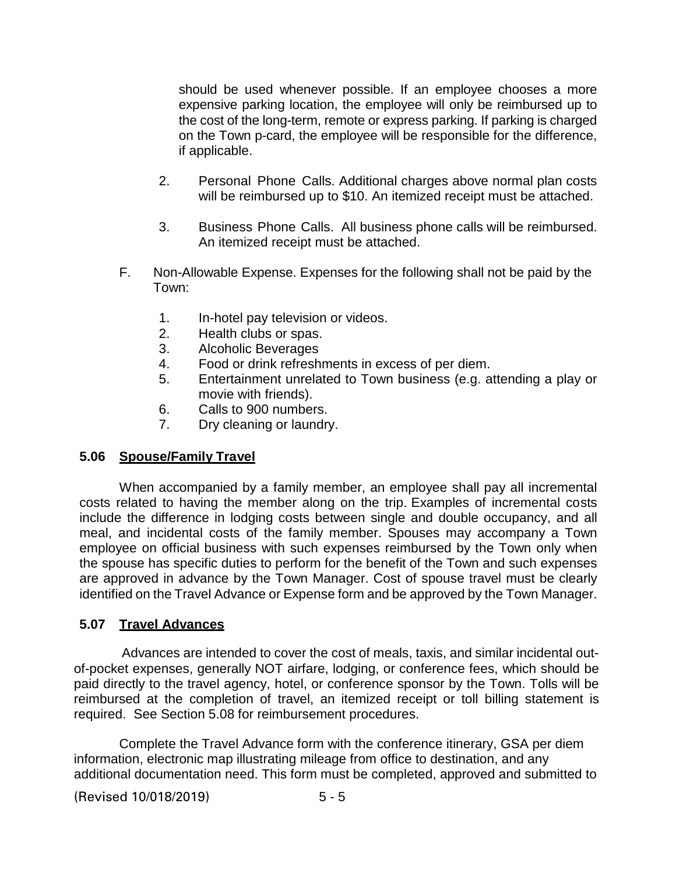should be used whenever possible. If an employee chooses a more expensive parking location, the employee will only be reimbursed up to the cost of the long-term, remote or express parking. If parking is charged on the Town p-card, the employee will be responsible for the difference, if applicable.

- 2. Personal Phone Calls. Additional charges above normal plan costs will be reimbursed up to \$10. An itemized receipt must be attached.
- 3. Business Phone Calls. All business phone calls will be reimbursed. An itemized receipt must be attached.
- F. Non-Allowable Expense. Expenses for the following shall not be paid by the Town:
	- 1. In-hotel pay television or videos.
	- 2. Health clubs or spas.
	- 3. Alcoholic Beverages
	- 4. Food or drink refreshments in excess of per diem.
	- 5. Entertainment unrelated to Town business (e.g. attending a play or movie with friends).
	- 6. Calls to 900 numbers.
	- 7. Dry cleaning or laundry.

#### **5.06 Spouse/Family Travel**

When accompanied by a family member, an employee shall pay all incremental costs related to having the member along on the trip. Examples of incremental costs include the difference in lodging costs between single and double occupancy, and all meal, and incidental costs of the family member. Spouses may accompany a Town employee on official business with such expenses reimbursed by the Town only when the spouse has specific duties to perform for the benefit of the Town and such expenses are approved in advance by the Town Manager. Cost of spouse travel must be clearly identified on the Travel Advance or Expense form and be approved by the Town Manager.

### **5.07 Travel Advances**

 Advances are intended to cover the cost of meals, taxis, and similar incidental outof-pocket expenses, generally NOT airfare, lodging, or conference fees, which should be paid directly to the travel agency, hotel, or conference sponsor by the Town. Tolls will be reimbursed at the completion of travel, an itemized receipt or toll billing statement is required. See Section 5.08 for reimbursement procedures.

Complete the Travel Advance form with the conference itinerary, GSA per diem information, electronic map illustrating mileage from office to destination, and any additional documentation need. This form must be completed, approved and submitted to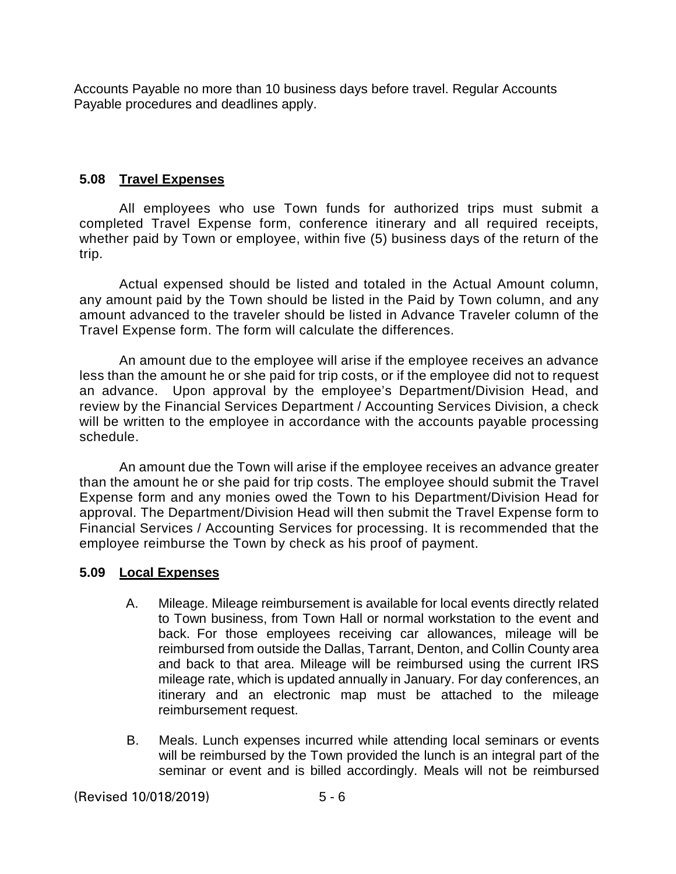Accounts Payable no more than 10 business days before travel. Regular Accounts Payable procedures and deadlines apply.

### **5.08 Travel Expenses**

All employees who use Town funds for authorized trips must submit a completed Travel Expense form, conference itinerary and all required receipts, whether paid by Town or employee, within five (5) business days of the return of the trip.

Actual expensed should be listed and totaled in the Actual Amount column, any amount paid by the Town should be listed in the Paid by Town column, and any amount advanced to the traveler should be listed in Advance Traveler column of the Travel Expense form. The form will calculate the differences.

An amount due to the employee will arise if the employee receives an advance less than the amount he or she paid for trip costs, or if the employee did not to request an advance. Upon approval by the employee's Department/Division Head, and review by the Financial Services Department / Accounting Services Division, a check will be written to the employee in accordance with the accounts payable processing schedule.

An amount due the Town will arise if the employee receives an advance greater than the amount he or she paid for trip costs. The employee should submit the Travel Expense form and any monies owed the Town to his Department/Division Head for approval. The Department/Division Head will then submit the Travel Expense form to Financial Services / Accounting Services for processing. It is recommended that the employee reimburse the Town by check as his proof of payment.

### **5.09 Local Expenses**

- A. Mileage. Mileage reimbursement is available for local events directly related to Town business, from Town Hall or normal workstation to the event and back. For those employees receiving car allowances, mileage will be reimbursed from outside the Dallas, Tarrant, Denton, and Collin County area and back to that area. Mileage will be reimbursed using the current IRS mileage rate, which is updated annually in January. For day conferences, an itinerary and an electronic map must be attached to the mileage reimbursement request.
- B. Meals. Lunch expenses incurred while attending local seminars or events will be reimbursed by the Town provided the lunch is an integral part of the seminar or event and is billed accordingly. Meals will not be reimbursed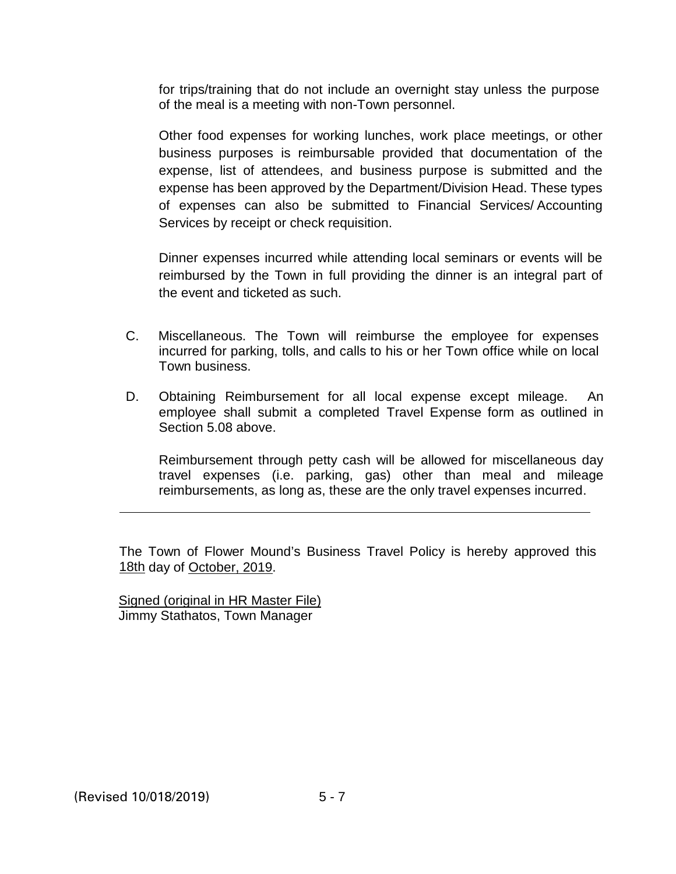for trips/training that do not include an overnight stay unless the purpose of the meal is a meeting with non-Town personnel.

Other food expenses for working lunches, work place meetings, or other business purposes is reimbursable provided that documentation of the expense, list of attendees, and business purpose is submitted and the expense has been approved by the Department/Division Head. These types of expenses can also be submitted to Financial Services/ Accounting Services by receipt or check requisition.

Dinner expenses incurred while attending local seminars or events will be reimbursed by the Town in full providing the dinner is an integral part of the event and ticketed as such.

- C. Miscellaneous. The Town will reimburse the employee for expenses incurred for parking, tolls, and calls to his or her Town office while on local Town business.
- D. Obtaining Reimbursement for all local expense except mileage. An employee shall submit a completed Travel Expense form as outlined in Section 5.08 above.

Reimbursement through petty cash will be allowed for miscellaneous day travel expenses (i.e. parking, gas) other than meal and mileage reimbursements, as long as, these are the only travel expenses incurred.

The Town of Flower Mound's Business Travel Policy is hereby approved this 18th day of October, 2019.

Signed (original in HR Master File) Jimmy Stathatos, Town Manager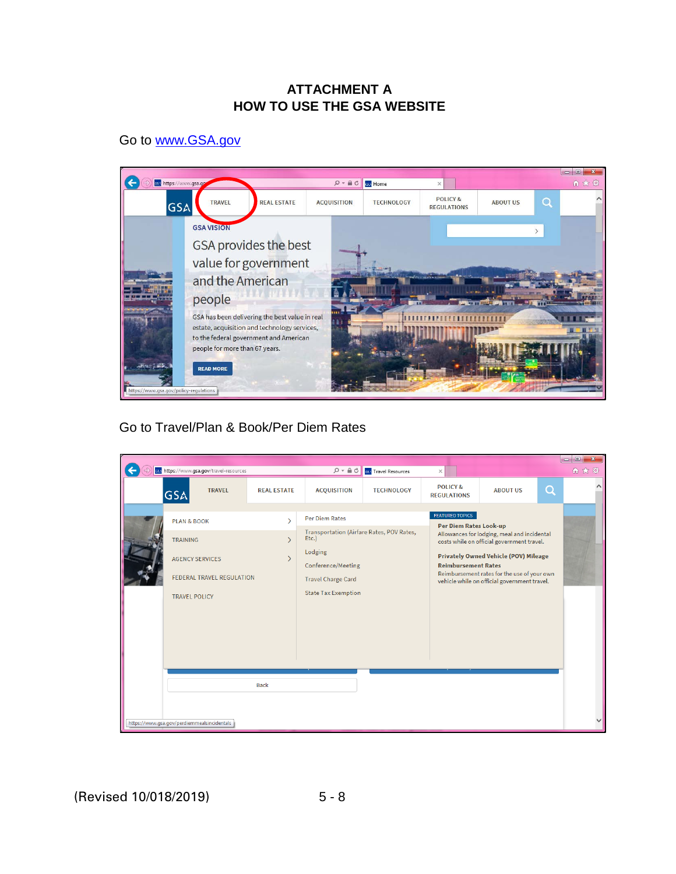### **ATTACHMENT A HOW TO USE THE GSA WEBSITE**

Go to [www.GSA.gov](http://www.gsa.gov/)



Go to Travel/Plan & Book/Per Diem Rates

|                                                                                                                                                                                |                                                                |                                                                                                                                                                                |                             |                                                                                |                                                                                                                                                                                                                                          |          | $ -$<br>$-\mathbf{x}$ |
|--------------------------------------------------------------------------------------------------------------------------------------------------------------------------------|----------------------------------------------------------------|--------------------------------------------------------------------------------------------------------------------------------------------------------------------------------|-----------------------------|--------------------------------------------------------------------------------|------------------------------------------------------------------------------------------------------------------------------------------------------------------------------------------------------------------------------------------|----------|-----------------------|
| sve https://www.gsa.gov/travel-resources                                                                                                                                       |                                                                | $D - \triangle C$                                                                                                                                                              | <b>BSA</b> Travel Resources | ×                                                                              |                                                                                                                                                                                                                                          |          | 价大赛                   |
| <b>TRAVEL</b><br><b>GSA</b>                                                                                                                                                    | <b>REAL ESTATE</b>                                             | <b>ACQUISITION</b>                                                                                                                                                             | <b>TECHNOLOGY</b>           | <b>POLICY&amp;</b><br><b>REGULATIONS</b>                                       | <b>ABOUT US</b>                                                                                                                                                                                                                          | $\alpha$ |                       |
| <b>PLAN &amp; BOOK</b><br><b>TRAINING</b><br><b>AGENCY SERVICES</b><br><b>FEDERAL TRAVEL REGULATION</b><br><b>TRAVEL POLICY</b><br>https://www.gsa.gov/perdiemmealsincidentals | $\mathcal{P}$<br>$\mathcal{P}$<br>$\mathcal{P}$<br><b>Back</b> | <b>Per Diem Rates</b><br>Transportation (Airfare Rates, POV Rates,<br>Etc.)<br>Lodging<br><b>Conference/Meeting</b><br><b>Travel Charge Card</b><br><b>State Tax Exemption</b> |                             | <b>FEATURED TOPICS</b><br>Per Diem Rates Look-up<br><b>Reimbursement Rates</b> | Allowances for lodging, meal and incidental<br>costs while on official government travel.<br><b>Privately Owned Vehicle (POV) Mileage</b><br>Reimbursement rates for the use of your own<br>vehicle while on official government travel. |          |                       |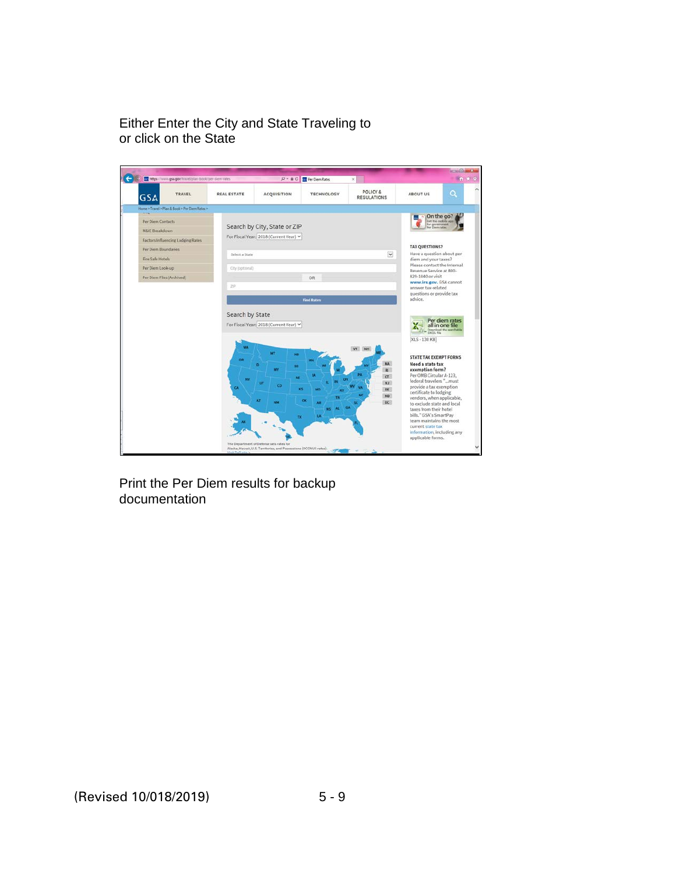Either Enter the City and State Traveling to or click on the State

|                           | W. https://www.gsa.gov/travel/plan-book/per-diem-rates |                    | $D - BC$                               | <b>Riv</b> Per Diem Rates            | $\times$                       |                                                        | <b>A * 0</b> |
|---------------------------|--------------------------------------------------------|--------------------|----------------------------------------|--------------------------------------|--------------------------------|--------------------------------------------------------|--------------|
| <b>GSA</b>                | TRAVEL                                                 | <b>REAL ESTATE</b> | <b>ACQUISITION</b>                     | <b>TECHNOLOGY</b>                    | POLICY &<br><b>REGULATIONS</b> | <b>ABOUT US</b>                                        | Q            |
|                           | Home - Travel - Plan & Book - Per Diem Rates -         |                    |                                        |                                      |                                |                                                        |              |
| Per Diem Contacts         |                                                        |                    |                                        |                                      |                                | On the go?<br>Get the mobile                           |              |
| <b>M&amp;IE Breakdown</b> |                                                        |                    | Search by City, State or ZIP           |                                      |                                | for government<br><b>Par Divoro cutas</b>              |              |
|                           | Factors Influencing Lodging Rates                      |                    | For Fiscal Year: 2018 (Current Year) V |                                      |                                |                                                        |              |
| Per Diem Boundaries       |                                                        |                    |                                        |                                      |                                | <b>TAX QUESTIONS?</b>                                  |              |
| Fire Safe Hotels          |                                                        | Select a State     |                                        |                                      | $\checkmark$                   | Have a question about per<br>diem and your taxes?      |              |
| Per Diem Look-up          |                                                        | City (optional)    |                                        |                                      |                                | Please contact the Internal<br>Revenue Service at 800- |              |
| Per Diem Files (Archived) |                                                        |                    |                                        | OR                                   |                                | 829-1040 or visit                                      |              |
|                           |                                                        | 21F                |                                        |                                      |                                | www.irs.gov. GSA cannot<br>answer tax-related          |              |
|                           |                                                        |                    |                                        | <b>Find Rates</b>                    |                                | questions or provide tax<br>advice.                    |              |
|                           |                                                        |                    |                                        |                                      |                                |                                                        |              |
|                           |                                                        | Search by State    | For Fiscal Year: 2018 (Current Year) V |                                      |                                | Per diem rates<br>all in one file                      |              |
|                           |                                                        |                    |                                        |                                      |                                | Download the sea<br><b>EXCEL FIN</b>                   |              |
|                           |                                                        |                    |                                        |                                      |                                | [XLS - 130 KB]                                         |              |
|                           |                                                        | <b>WA</b>          | MT                                     |                                      |                                |                                                        |              |
|                           |                                                        | OR                 | <b>NO</b>                              |                                      | <b>MA</b>                      | STATE TAX EXEMPT FORMS                                 |              |
|                           |                                                        |                    | 50<br>wv                               |                                      |                                | Need a state tax<br>exemption form?                    |              |
|                           |                                                        | W                  | <b>NE</b>                              |                                      | CT                             | Per OMB Circular A-123,<br>federal travelers "must     |              |
|                           |                                                        | <b>CA</b>          | <b>u</b><br>co                         | KS.<br><b>MO</b><br>KY               | NJ<br>DE                       | provide a tax exemption                                |              |
|                           |                                                        |                    | AZ.                                    | TM<br>ok                             | MD                             | certificate to lodging<br>vendors, when applicable,    |              |
|                           |                                                        |                    |                                        | ÁR                                   | $\alpha$<br>GA                 | to exclude state and local<br>taxes from their hotel   |              |
|                           |                                                        |                    |                                        | <b>tA</b><br>$\overline{\mathbf{R}}$ |                                | bills." GSA's SmartPay                                 |              |
|                           |                                                        |                    |                                        |                                      |                                | team maintains the most<br>current state tax           |              |
|                           |                                                        |                    |                                        |                                      |                                | information, including any<br>applicable forms.        |              |
|                           |                                                        |                    |                                        |                                      |                                |                                                        |              |

Print the Per Diem results for backup documentation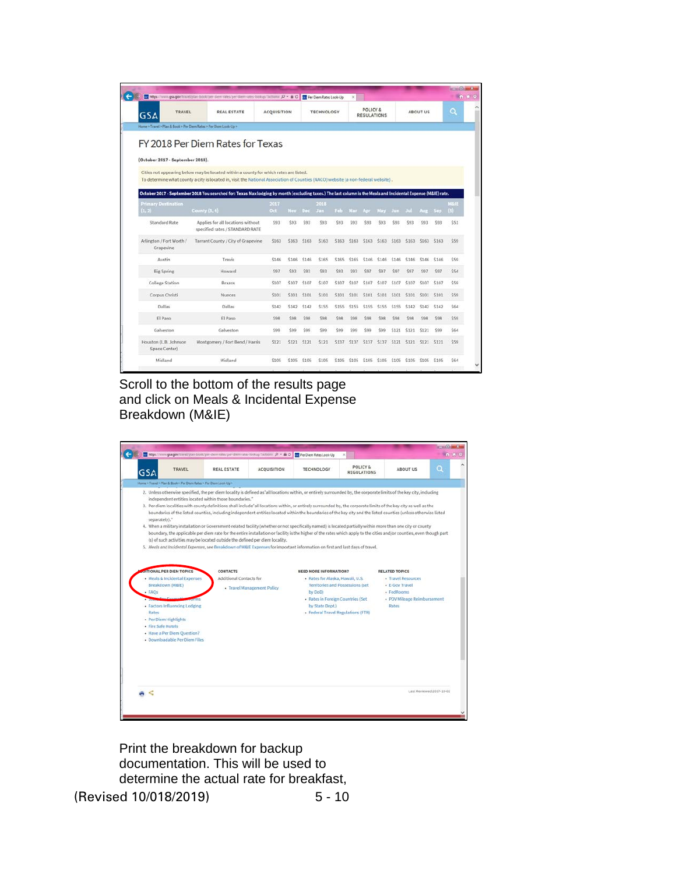|                                         | w https://www.gsa.gov/travel/plan-book/per-diem-rates/per-diem-rates-lookup/Tactions: $D$ - A C                                                                |                    |             |       | <b>AN</b> Per Diem Rates Look-Up |             | ×           |                                           |       |             |       |                 |             | n * 0 |
|-----------------------------------------|----------------------------------------------------------------------------------------------------------------------------------------------------------------|--------------------|-------------|-------|----------------------------------|-------------|-------------|-------------------------------------------|-------|-------------|-------|-----------------|-------------|-------|
| TRAVEL<br><b>GSA</b>                    | <b>REAL ESTATE</b>                                                                                                                                             | <b>ACQUISITION</b> |             |       | <b>TECHNOLOGY</b>                |             |             | <b>POLICY &amp;</b><br><b>REGULATIONS</b> |       |             |       | <b>ABOUT US</b> |             | Q     |
|                                         | Home = Travel > Plan & Book > Per Diem Rates > Per Diem Look-Up >                                                                                              |                    |             |       |                                  |             |             |                                           |       |             |       |                 |             |       |
|                                         | FY 2018 Per Diem Rates for Texas                                                                                                                               |                    |             |       |                                  |             |             |                                           |       |             |       |                 |             |       |
| (October 2017 - September 2018).        |                                                                                                                                                                |                    |             |       |                                  |             |             |                                           |       |             |       |                 |             |       |
|                                         | Cities not appearing below may be located within a county for which rates are listed.                                                                          |                    |             |       |                                  |             |             |                                           |       |             |       |                 |             |       |
|                                         | To determine what county a city is located in, visit the National Association of Counties (NACO) website (a non-federal website),                              |                    |             |       |                                  |             |             |                                           |       |             |       |                 |             |       |
|                                         | October 2017 - September 2018 You searched for: Texas Max lodging by month (excluding taxes.) The last column is the Meals and Incidental Expense (M&IE) rate. |                    |             |       |                                  |             |             |                                           |       |             |       |                 |             |       |
| <b>Primary Destination</b>              |                                                                                                                                                                | 2017               |             |       | 2018                             |             |             |                                           |       |             |       |                 |             | MAIL  |
| (1, 2)                                  | County $(3, 4)$                                                                                                                                                | Oct.               | Nov.        | Dec.  | <b>Jan</b>                       | Feb.        | Mar.        | Apr                                       | May   | Jun.        | Jul.  | Aug.            | Sep         | (5)   |
| Standard Rate                           | Applies for all locations without<br>specified rates / STANDARD RATE                                                                                           | \$93               | \$93        | \$93  | \$93                             | \$93        | \$93        | \$93                                      | \$93  | \$93        | \$93  | \$93            | \$93        | \$51  |
| Arlington / Fort Worth /<br>Grapevine   | Tarrant County / City of Grapevine                                                                                                                             | \$163              | \$163       | \$163 | \$163                            | \$163       | \$163       | \$163                                     | \$163 | \$163       | \$163 | \$163           | \$163       | \$59  |
| Austin                                  | Travis                                                                                                                                                         | \$146              | \$146       | \$146 | \$165                            | \$165       | \$165       | \$146                                     | \$146 | \$146       | \$146 | \$146           | \$146       | \$59  |
| <b>Big Spring</b>                       | Howard                                                                                                                                                         | \$97               | \$93        | \$93  | 593                              | 502         | \$93        | \$97                                      | \$97  | \$97        | \$97  | \$97            | \$97        | \$54  |
| <b>College Station</b>                  | <b>Brazos</b>                                                                                                                                                  | \$107              | \$107       | \$107 | \$107                            | \$107       | \$107       | \$107                                     | \$107 | \$107       | \$107 | \$107           | \$107       | \$50  |
| Corpus Christi                          | Nueces                                                                                                                                                         | \$101              | \$101       | \$101 | \$101                            | \$101       | <b>S101</b> | \$101                                     | \$101 | \$101       | \$101 | \$101           | \$101       | \$59  |
| Dallas                                  | Dallas                                                                                                                                                         | \$142              | \$142       | \$142 | \$155                            | \$155       | <b>S1SS</b> | \$155                                     | \$155 | <b>S1SS</b> | \$142 | \$142           | \$142       | \$64  |
| El Paso                                 | El Paso                                                                                                                                                        | \$98               | \$98        | \$98  | \$98                             | \$98        | \$98        | \$98                                      | \$98  | \$98        | \$98  | \$98            | \$98        | \$59  |
| Galveston                               | Galveston                                                                                                                                                      | \$99               | \$99        | \$99  | \$99                             | \$99        | \$99        | \$99                                      | \$99  | 5121        | \$121 | \$121           | \$99        | \$64  |
| Houston (L.B. Johnson)<br>Space Center) | Montgomery / Fort Bend / Harris                                                                                                                                | \$121              | <b>S121</b> | 5121  | \$121                            | <b>S137</b> | 5137        | \$137                                     | \$137 | <b>S121</b> | \$121 | S121            | <b>S121</b> | \$59  |
|                                         |                                                                                                                                                                |                    |             |       |                                  |             |             |                                           |       |             |       |                 |             |       |
| Midland                                 | Midland                                                                                                                                                        | \$105              | \$105       | \$105 | \$105                            | \$105       | \$105       | \$105                                     | \$105 | \$105       | \$105 | \$105           | \$105       | \$64  |

Scroll to the bottom of the results page and click on Meals & Incidental Expense Breakdown (M&IE)



Print the breakdown for backup documentation. This will be used to determine the actual rate for breakfast,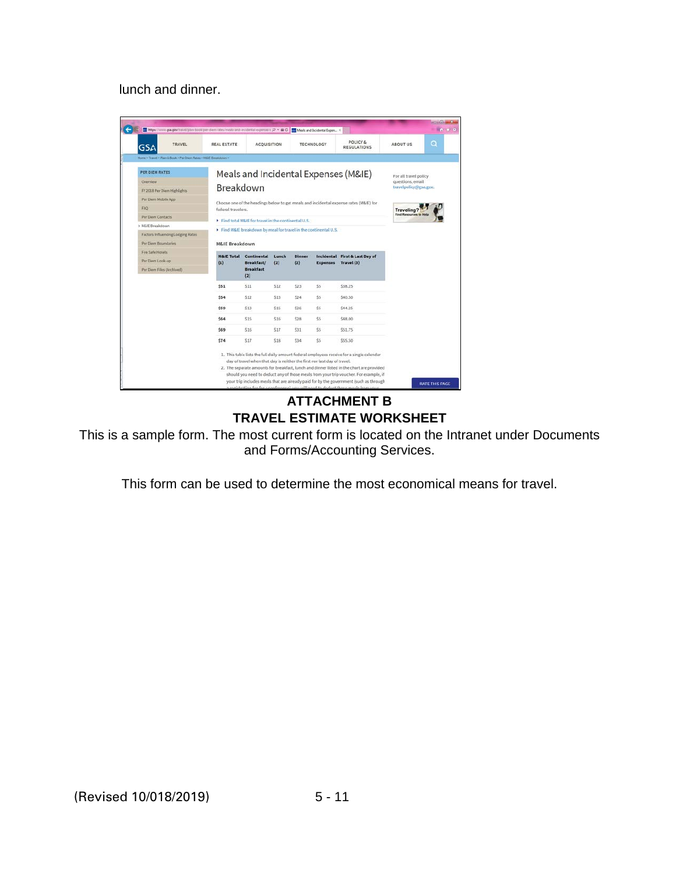lunch and dinner.

| TRAVEL<br><b>GSA</b>                                           | <b>REAL ESTATE</b>    | <b>ACQUISITION</b>                                                       |      |      | <b>TECHNOLOGY</b> | POLICY&<br><b>REGULATIONS</b>                                                                                                                                                                                                                                                 | <b>ABOUT US</b>       | $\Omega$ |
|----------------------------------------------------------------|-----------------------|--------------------------------------------------------------------------|------|------|-------------------|-------------------------------------------------------------------------------------------------------------------------------------------------------------------------------------------------------------------------------------------------------------------------------|-----------------------|----------|
| Home > Travel > Plan & Book > Per Diem Rates > M&E Breakdown > |                       |                                                                          |      |      |                   |                                                                                                                                                                                                                                                                               |                       |          |
| <b>PER DIEM RATES</b>                                          |                       |                                                                          |      |      |                   | Meals and Incidental Expenses (M&IE)                                                                                                                                                                                                                                          | For all travel policy |          |
| Overview                                                       |                       |                                                                          |      |      |                   |                                                                                                                                                                                                                                                                               | questions, email      |          |
| FY 2018 Per Diem Highlights                                    | Breakdown             |                                                                          |      |      |                   |                                                                                                                                                                                                                                                                               | travelpolicy@gsa.gov. |          |
| Per Diem Mobile App                                            |                       |                                                                          |      |      |                   | Choose one of the headings below to get meals and incidental expense rates (M&IE) for                                                                                                                                                                                         |                       |          |
| FAQ                                                            | federal travelers.    |                                                                          |      |      |                   |                                                                                                                                                                                                                                                                               | Traveling?            |          |
| Per Diem Contacts                                              |                       | Find total M&IE for travel in the continental U.S.                       |      |      |                   |                                                                                                                                                                                                                                                                               |                       |          |
| S MLIE Breakdown                                               |                       | Find M&IE breakdown by meal for travel in the continental U.S.           |      |      |                   |                                                                                                                                                                                                                                                                               |                       |          |
| Factors Influencing Lodging Rates                              |                       |                                                                          |      |      |                   |                                                                                                                                                                                                                                                                               |                       |          |
| Per Diem Boundaries                                            | M&IE Breakdown        |                                                                          |      |      |                   |                                                                                                                                                                                                                                                                               |                       |          |
| Fire Safe Hotels                                               | <b>M&amp;IE Total</b> | Incidental First & Last Day of<br>Continental<br><b>Dinner</b><br>Lunch  |      |      |                   |                                                                                                                                                                                                                                                                               |                       |          |
| Per Diem Look-up                                               | (1)                   | Breakfast/                                                               | (2)  | (2)  |                   | Expenses Travel (3)                                                                                                                                                                                                                                                           |                       |          |
| Per Diem Files (Archived)                                      |                       | <b>Breakfast</b><br>(2)                                                  |      |      |                   |                                                                                                                                                                                                                                                                               |                       |          |
|                                                                | \$51                  | \$11                                                                     | \$12 | \$23 | \$5               | \$38.25                                                                                                                                                                                                                                                                       |                       |          |
|                                                                | \$54                  | \$12                                                                     | \$13 | \$24 | \$5               | \$40.50                                                                                                                                                                                                                                                                       |                       |          |
|                                                                | \$59                  | \$13                                                                     | \$15 | \$26 | \$5               | \$44.25                                                                                                                                                                                                                                                                       |                       |          |
|                                                                | \$64                  | \$15                                                                     | \$16 | \$28 | \$S               | \$48.00                                                                                                                                                                                                                                                                       |                       |          |
|                                                                | \$69                  | \$16                                                                     | \$17 | \$31 | \$5               | \$51.75                                                                                                                                                                                                                                                                       |                       |          |
|                                                                | \$74                  | \$17                                                                     | \$18 | \$34 | \$5               | \$55.50                                                                                                                                                                                                                                                                       |                       |          |
|                                                                |                       | day of travel when that day is neither the first nor last day of travel. |      |      |                   | 1. This table lists the full daily amount federal employees receive for a single calendar<br>2. The separate amounts for breakfast, lunch and dinner listed in the chart are provided<br>should you need to deduct any of those meals from your trip voucher. For example, if |                       |          |

### **ATTACHMENT B TRAVEL ESTIMATE WORKSHEET**

This is a sample form. The most current form is located on the Intranet under Documents and Forms/Accounting Services.

This form can be used to determine the most economical means for travel.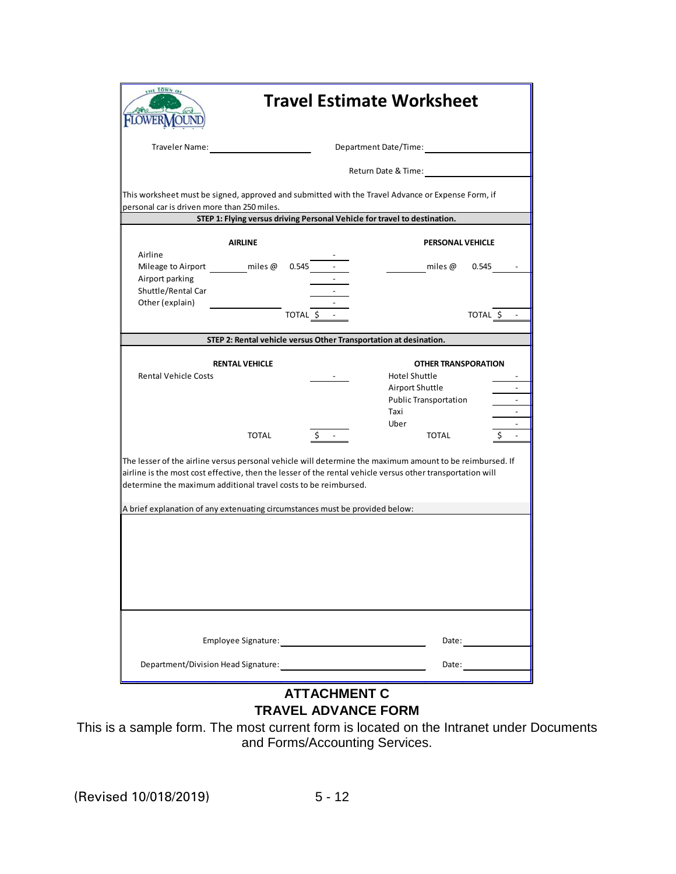|                                                                                                                                                                                                                                                                                                                                                                           |                       |                                                                   | <b>Travel Estimate Worksheet</b>                                                        |                                                      |
|---------------------------------------------------------------------------------------------------------------------------------------------------------------------------------------------------------------------------------------------------------------------------------------------------------------------------------------------------------------------------|-----------------------|-------------------------------------------------------------------|-----------------------------------------------------------------------------------------|------------------------------------------------------|
| Traveler Name:                                                                                                                                                                                                                                                                                                                                                            |                       |                                                                   | Department Date/Time:                                                                   |                                                      |
|                                                                                                                                                                                                                                                                                                                                                                           |                       |                                                                   | Return Date & Time:                                                                     |                                                      |
| This worksheet must be signed, approved and submitted with the Travel Advance or Expense Form, if<br>personal car is driven more than 250 miles.                                                                                                                                                                                                                          |                       |                                                                   | STEP 1: Flying versus driving Personal Vehicle for travel to destination.               |                                                      |
|                                                                                                                                                                                                                                                                                                                                                                           |                       |                                                                   |                                                                                         |                                                      |
|                                                                                                                                                                                                                                                                                                                                                                           | <b>AIRLINE</b>        |                                                                   | <b>PERSONAL VEHICLE</b>                                                                 |                                                      |
| Airline<br>Mileage to Airport miles @<br>Airport parking<br>Shuttle/Rental Car<br>Other (explain)                                                                                                                                                                                                                                                                         |                       | $0.545 -$                                                         | miles @                                                                                 | 0.545                                                |
|                                                                                                                                                                                                                                                                                                                                                                           |                       | TOTAL \$ -                                                        |                                                                                         | TOTAL \$                                             |
|                                                                                                                                                                                                                                                                                                                                                                           |                       |                                                                   |                                                                                         |                                                      |
|                                                                                                                                                                                                                                                                                                                                                                           |                       | STEP 2: Rental vehicle versus Other Transportation at desination. |                                                                                         |                                                      |
|                                                                                                                                                                                                                                                                                                                                                                           | <b>RENTAL VEHICLE</b> |                                                                   | <b>OTHER TRANSPORATION</b>                                                              |                                                      |
| <b>Rental Vehicle Costs</b>                                                                                                                                                                                                                                                                                                                                               |                       |                                                                   | Hotel Shuttle<br>Airport Shuttle<br><b>Public Transportation</b><br>Taxi<br><b>Uber</b> | $\overline{\phantom{a}}$<br>$\overline{\phantom{a}}$ |
|                                                                                                                                                                                                                                                                                                                                                                           |                       |                                                                   |                                                                                         |                                                      |
|                                                                                                                                                                                                                                                                                                                                                                           | TOTAL                 |                                                                   | <b>TOTAL</b>                                                                            |                                                      |
| The lesser of the airline versus personal vehicle will determine the maximum amount to be reimbursed. If<br>airline is the most cost effective, then the lesser of the rental vehicle versus other transportation will<br>determine the maximum additional travel costs to be reimbursed.<br>A brief explanation of any extenuating circumstances must be provided below: |                       |                                                                   |                                                                                         |                                                      |
|                                                                                                                                                                                                                                                                                                                                                                           |                       |                                                                   |                                                                                         |                                                      |

## **ATTACHMENT C TRAVEL ADVANCE FORM**

This is a sample form. The most current form is located on the Intranet under Documents and Forms/Accounting Services.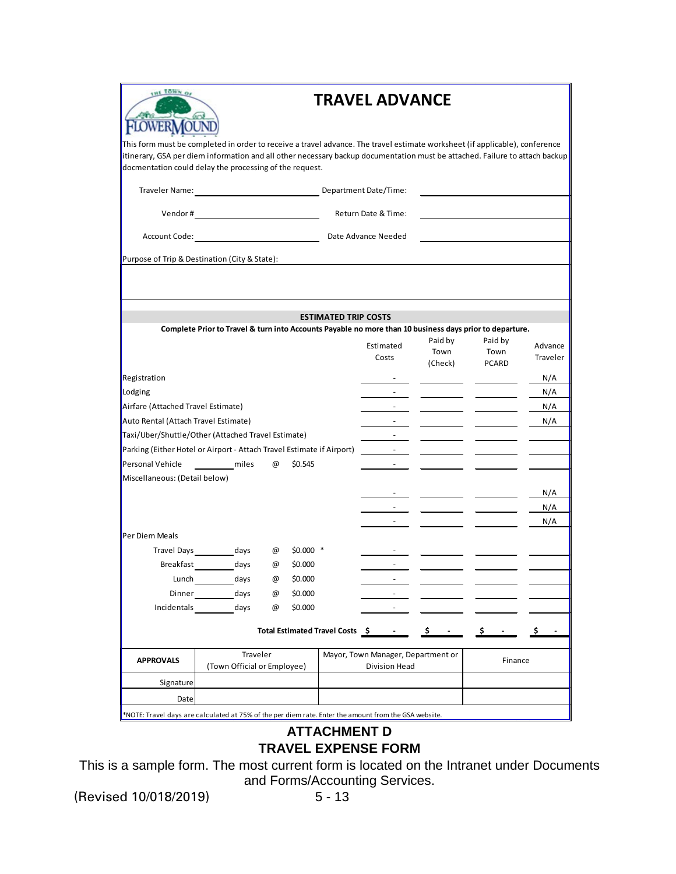| FLOWER MOUND |
|--------------|

# **TRAVEL ADVANCE**

This form must be completed in order to receive a travel advance. The travel estimate worksheet (if applicable), conference itinerary, GSA per diem information and all other necessary backup documentation must be attached. Failure to attach backup docmentation could delay the processing of the request.

Traveler Name: Department Date/Time:

Vendor # Neturn Date & Time:

Account Code: Date Advance Needed

Purpose of Trip & Destination (City & State):

|                                                                       |                                                                                                         |   |           | <b>ESTIMATED TRIP COSTS</b> |                                                                                                                                                                                                                                                    |                            |                                 |                     |
|-----------------------------------------------------------------------|---------------------------------------------------------------------------------------------------------|---|-----------|-----------------------------|----------------------------------------------------------------------------------------------------------------------------------------------------------------------------------------------------------------------------------------------------|----------------------------|---------------------------------|---------------------|
|                                                                       | Complete Prior to Travel & turn into Accounts Payable no more than 10 business days prior to departure. |   |           |                             | Estimated<br>Costs                                                                                                                                                                                                                                 | Paid by<br>Town<br>(Check) | Paid by<br>Town<br><b>PCARD</b> | Advance<br>Traveler |
| Registration                                                          |                                                                                                         |   |           |                             |                                                                                                                                                                                                                                                    |                            |                                 | N/A                 |
| Lodging                                                               |                                                                                                         |   |           |                             |                                                                                                                                                                                                                                                    |                            |                                 | N/A                 |
| Airfare (Attached Travel Estimate)                                    |                                                                                                         |   |           |                             |                                                                                                                                                                                                                                                    |                            |                                 | N/A                 |
| Auto Rental (Attach Travel Estimate)                                  |                                                                                                         |   |           |                             |                                                                                                                                                                                                                                                    |                            |                                 | N/A                 |
| Taxi/Uber/Shuttle/Other (Attached Travel Estimate)                    |                                                                                                         |   |           |                             |                                                                                                                                                                                                                                                    |                            |                                 |                     |
| Parking (Either Hotel or Airport - Attach Travel Estimate if Airport) |                                                                                                         |   |           |                             |                                                                                                                                                                                                                                                    |                            |                                 |                     |
| Personal Vehicle                                                      | miles                                                                                                   | @ | \$0.545   |                             |                                                                                                                                                                                                                                                    |                            |                                 |                     |
| Miscellaneous: (Detail below)                                         |                                                                                                         |   |           |                             |                                                                                                                                                                                                                                                    |                            |                                 |                     |
|                                                                       |                                                                                                         |   |           |                             |                                                                                                                                                                                                                                                    |                            |                                 | N/A                 |
|                                                                       |                                                                                                         |   |           |                             |                                                                                                                                                                                                                                                    |                            |                                 | N/A                 |
|                                                                       |                                                                                                         |   |           |                             |                                                                                                                                                                                                                                                    |                            |                                 | N/A                 |
| Per Diem Meals                                                        |                                                                                                         |   |           |                             |                                                                                                                                                                                                                                                    |                            |                                 |                     |
|                                                                       | Travel Days days                                                                                        | @ | $$0.000*$ |                             |                                                                                                                                                                                                                                                    |                            |                                 |                     |
|                                                                       | Breakfast days                                                                                          | @ | \$0.000   |                             |                                                                                                                                                                                                                                                    |                            |                                 |                     |
|                                                                       | Lunch days                                                                                              | @ | \$0.000   |                             |                                                                                                                                                                                                                                                    |                            |                                 |                     |
|                                                                       | Dinner days                                                                                             | @ | \$0.000   |                             |                                                                                                                                                                                                                                                    |                            |                                 |                     |
| Incidentals                                                           | days                                                                                                    | @ | \$0.000   |                             |                                                                                                                                                                                                                                                    |                            |                                 |                     |
|                                                                       |                                                                                                         |   |           |                             | Total Estimated Travel Costs \$1,100 mg \$1,200 mg \$1,200 mg \$1,200 mg \$1,200 mg \$1,200 mg \$1,200 mg \$1,200 mg \$1,200 mg \$1,200 mg \$1,200 mg \$1,200 mg \$1,200 mg \$1,200 mg \$1,200 mg \$1,200 mg \$1,200 mg \$1,200 mg \$1,200 mg \$1, |                            | -\$                             |                     |
| <b>APPROVALS</b>                                                      | Traveler<br>(Town Official or Employee)                                                                 |   |           |                             | Mayor, Town Manager, Department or<br>Division Head                                                                                                                                                                                                | Finance                    |                                 |                     |
| Signature                                                             |                                                                                                         |   |           |                             |                                                                                                                                                                                                                                                    |                            |                                 |                     |
| Date                                                                  |                                                                                                         |   |           |                             |                                                                                                                                                                                                                                                    |                            |                                 |                     |
|                                                                       |                                                                                                         |   |           |                             |                                                                                                                                                                                                                                                    |                            |                                 |                     |

\*NOTE: Travel days are calculated at 75% of the per diem rate. Enter the amount from the GSA website.

### **ATTACHMENT D TRAVEL EXPENSE FORM**

This is a sample form. The most current form is located on the Intranet under Documents and Forms/Accounting Services.